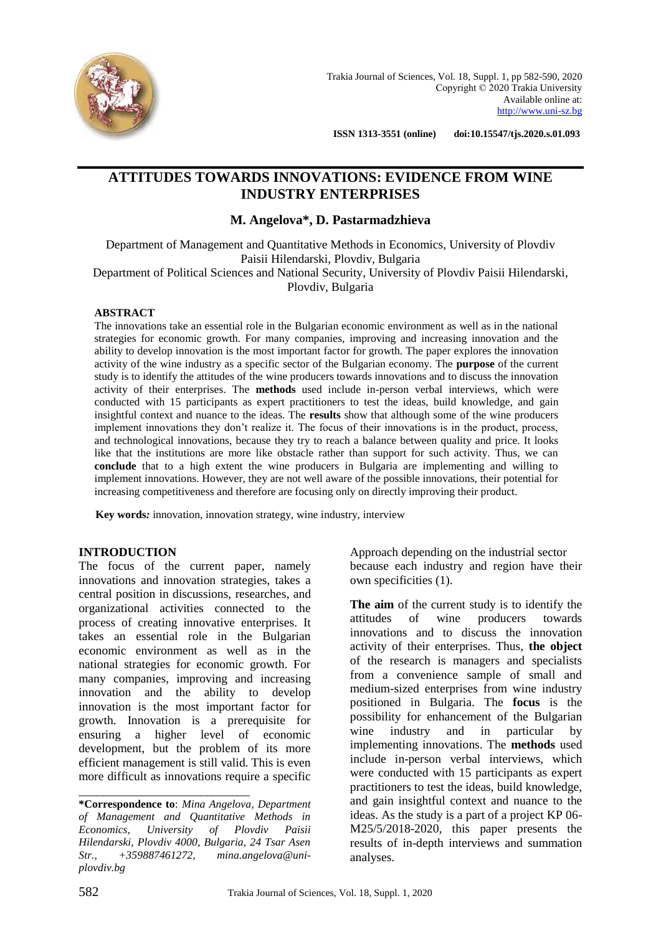

 **ISSN 1313-3551 (online) doi:10.15547/tjs.2020.s.01.093**

# **ATTITUDES TOWARDS INNOVATIONS: EVIDENCE FROM WINE INDUSTRY ENTERPRISES**

## **M. Angelova\*, D. Pastarmadzhieva**

Department of Management and Quantitative Methods in Economics, University of Plovdiv Paisii Hilendarski, Plovdiv, Bulgaria Department of Political Sciences and National Security, University of Plovdiv Paisii Hilendarski, Plovdiv, Bulgaria

#### **ABSTRACT**

The innovations take an essential role in the Bulgarian economic environment as well as in the national strategies for economic growth. For many companies, improving and increasing innovation and the ability to develop innovation is the most important factor for growth. The paper explores the innovation activity of the wine industry as a specific sector of the Bulgarian economy. The **purpose** of the current study is to identify the attitudes of the wine producers towards innovations and to discuss the innovation activity of their enterprises. The **methods** used include in-person verbal interviews, which were conducted with 15 participants as expert practitioners to test the ideas, build knowledge, and gain insightful context and nuance to the ideas. The **results** show that although some of the wine producers implement innovations they don't realize it. The focus of their innovations is in the product, process, and technological innovations, because they try to reach a balance between quality and price. It looks like that the institutions are more like obstacle rather than support for such activity. Thus, we can **conclude** that to a high extent the wine producers in Bulgaria are implementing and willing to implement innovations. However, they are not well aware of the possible innovations, their potential for increasing competitiveness and therefore are focusing only on directly improving their product.

 **Key words***:* innovation, innovation strategy, wine industry, interview

#### **INTRODUCTION**

The focus of the current paper, namely innovations and innovation strategies, takes a central position in discussions, researches, and organizational activities connected to the process of creating innovative enterprises. It takes an essential role in the Bulgarian economic environment as well as in the national strategies for economic growth. For many companies, improving and increasing innovation and the ability to develop innovation is the most important factor for growth. Innovation is a prerequisite for ensuring a higher level of economic development, but the problem of its more efficient management is still valid. This is even more difficult as innovations require a specific

\_\_\_\_\_\_\_\_\_\_\_\_\_\_\_\_\_\_\_\_\_\_\_\_\_\_\_\_

Approach depending on the industrial sector because each industry and region have their own specificities (1).

**The aim** of the current study is to identify the attitudes of wine producers towards innovations and to discuss the innovation activity of their enterprises. Thus, **the object** of the research is managers and specialists from a convenience sample of small and medium-sized enterprises from wine industry positioned in Bulgaria. The **focus** is the possibility for enhancement of the Bulgarian wine industry and in particular by implementing innovations. The **methods** used include in-person verbal interviews, which were conducted with 15 participants as expert practitioners to test the ideas, build knowledge, and gain insightful context and nuance to the ideas. As the study is a part of a project KP 06- M25/5/2018-2020, this paper presents the results of in-depth interviews and summation analyses.

**<sup>\*</sup>Correspondence to**: *Mina Angelova, Department of Management and Quantitative Methods in Economics, University of Plovdiv Paisii Hilendarski, Plovdiv 4000, Bulgaria, 24 Tsar Asen Str., +359887461272, [mina.angelova@uni](mailto:mina.angelova@uni-plovdiv.bg)[plovdiv.bg](mailto:mina.angelova@uni-plovdiv.bg)*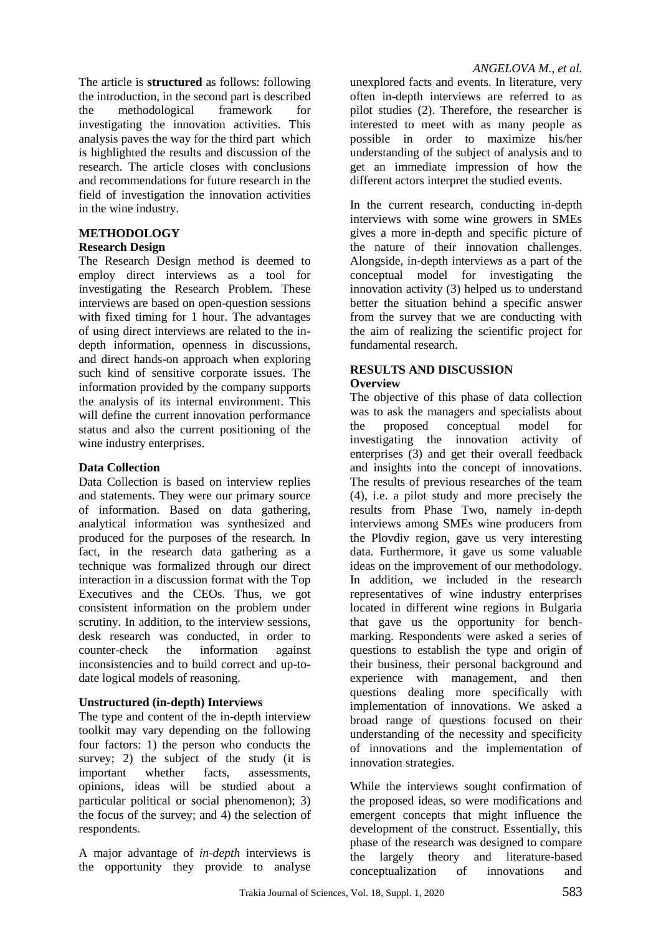The article is **structured** as follows: following the introduction, in the second part is described the methodological framework for investigating the innovation activities. This analysis paves the way for the third part which is highlighted the results and discussion of the research. The article closes with conclusions and recommendations for future research in the field of investigation the innovation activities in the wine industry.

## **METHODOLOGY**

### **Research Design**

The Research Design method is deemed to employ direct interviews as a tool for investigating the Research Problem. These interviews are based on open-question sessions with fixed timing for 1 hour. The advantages of using direct interviews are related to the indepth information, openness in discussions, and direct hands-on approach when exploring such kind of sensitive corporate issues. The information provided by the company supports the analysis of its internal environment. This will define the current innovation performance status and also the current positioning of the wine industry enterprises.

## **Data Collection**

Data Collection is based on interview replies and statements. They were our primary source of information. Based on data gathering, analytical information was synthesized and produced for the purposes of the research. In fact, in the research data gathering as a technique was formalized through our direct interaction in a discussion format with the Top Executives and the CEOs. Thus, we got consistent information on the problem under scrutiny. In addition, to the interview sessions, desk research was conducted, in order to counter-check the information against inconsistencies and to build correct and up-todate logical models of reasoning.

## **Unstructured (in-depth) Interviews**

The type and content of the in-depth interview toolkit may vary depending on the following four factors: 1) the person who conducts the survey; 2) the subject of the study (it is important whether facts, assessments, opinions, ideas will be studied about a particular political or social phenomenon); 3) the focus of the survey; and 4) the selection of respondents.

A major advantage of *in-depth* interviews is the opportunity they provide to analyse unexplored facts and events. In literature, very often in-depth interviews are referred to as pilot studies (2). Therefore, the researcher is interested to meet with as many people as possible in order to maximize his/her understanding of the subject of analysis and to get an immediate impression of how the different actors interpret the studied events.

In the current research, conducting in-depth interviews with some wine growers in SMEs gives a more in-depth and specific picture of the nature of their innovation challenges. Alongside, in-depth interviews as a part of the conceptual model for investigating the innovation activity (3) helped us to understand better the situation behind a specific answer from the survey that we are conducting with the aim of realizing the scientific project for fundamental research.

#### **RESULTS AND DISCUSSION Overview**

The objective of this phase of data collection was to ask the managers and specialists about the proposed conceptual model for investigating the innovation activity of enterprises (3) and get their overall feedback and insights into the concept of innovations. The results of previous researches of the team (4), i.e. a pilot study and more precisely the results from Phase Two, namely in-depth interviews among SMEs wine producers from the Plovdiv region, gave us very interesting data. Furthermore, it gave us some valuable ideas on the improvement of our methodology. In addition, we included in the research representatives of wine industry enterprises located in different wine regions in Bulgaria that gave us the opportunity for benchmarking. Respondents were asked a series of questions to establish the type and origin of their business, their personal background and experience with management, and then questions dealing more specifically with implementation of innovations. We asked a broad range of questions focused on their understanding of the necessity and specificity of innovations and the implementation of innovation strategies.

While the interviews sought confirmation of the proposed ideas, so were modifications and emergent concepts that might influence the development of the construct. Essentially, this phase of the research was designed to compare the largely theory and literature-based conceptualization of innovations and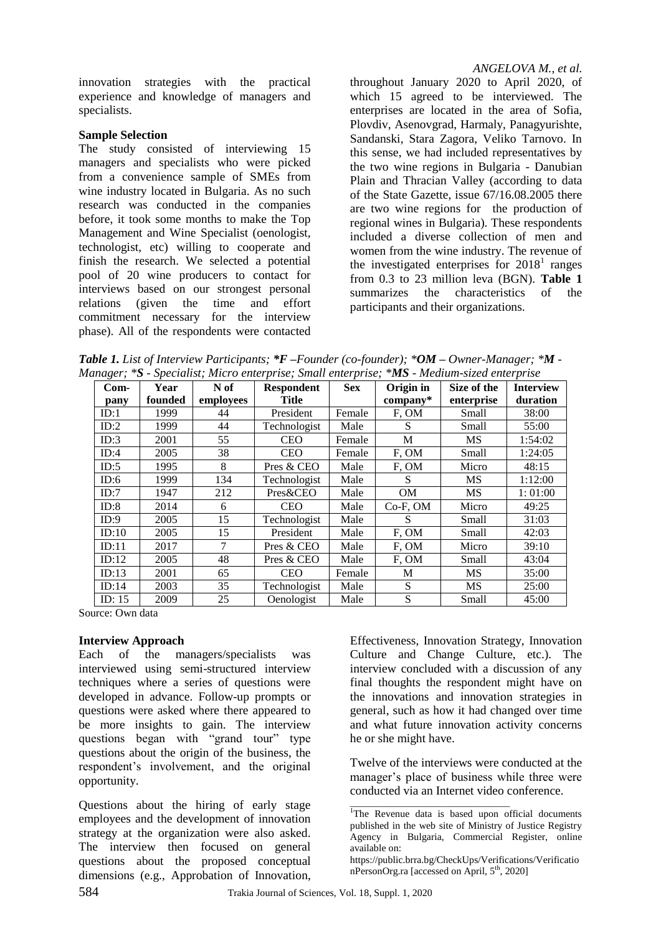innovation strategies with the practical experience and knowledge of managers and specialists.

#### **Sample Selection**

The study consisted of interviewing 15 managers and specialists who were picked from a convenience sample of SMEs from wine industry located in Bulgaria. As no such research was conducted in the companies before, it took some months to make the Top Management and Wine Specialist (oenologist, technologist, etc) willing to cooperate and finish the research. We selected a potential pool of 20 wine producers to contact for interviews based on our strongest personal relations (given the time and effort commitment necessary for the interview phase). All of the respondents were contacted

#### *ANGELOVA M., et al.*

throughout January 2020 to April 2020, of which 15 agreed to be interviewed. The enterprises are located in the area of Sofia, Plovdiv, Asenovgrad, Harmaly, Panagyurishte, Sandanski, Stara Zagora, Veliko Tarnovo. In this sense, we had included representatives by the two wine regions in Bulgaria - Danubian Plain and Thracian Valley (according to data of the State Gazette, issue 67/16.08.2005 there are two wine regions for the production of regional wines in Bulgaria). These respondents included a diverse collection of men and women from the wine industry. The revenue of the investigated enterprises for  $2018<sup>1</sup>$  ranges from 0.3 to 23 million leva (BGN). **Table 1** summarizes the characteristics of the participants and their organizations.

*Table 1. List of Interview Participants; \*F –Founder (co-founder); \*OM – Owner-Manager; \*M - Manager; \*S - Specialist; Micro enterprise; Small enterprise; \*MS - Medium-sized enterprise*

| $Com-$<br>pany | Year<br>founded | N of<br>employees | Respondent<br>Title | <b>Sex</b> | Origin in<br>$\mathbf{company}^*$ | Size of the<br>enterprise | <b>Interview</b><br>duration |
|----------------|-----------------|-------------------|---------------------|------------|-----------------------------------|---------------------------|------------------------------|
| ID:1           | 1999            | 44                | President           | Female     | F, OM                             | Small                     | 38:00                        |
| ID:2           | 1999            | 44                | Technologist        | Male       | S                                 | Small                     | 55:00                        |
| ID:3           | 2001            | 55                | <b>CEO</b>          | Female     | M                                 | MS.                       | 1:54:02                      |
| ID:4           | 2005            | 38                | <b>CEO</b>          | Female     | F, OM                             | Small                     | 1:24:05                      |
| ID:5           | 1995            | 8                 | Pres & CEO          | Male       | F, OM                             | Micro                     | 48:15                        |
| ID:6           | 1999            | 134               | Technologist        | Male       | S                                 | <b>MS</b>                 | 1:12:00                      |
| ID:7           | 1947            | 212               | Pres&CEO            | Male       | <b>OM</b>                         | <b>MS</b>                 | 1:01:00                      |
| ID:8           | 2014            | 6                 | <b>CEO</b>          | Male       | $Co-F, OM$                        | Micro                     | 49:25                        |
| ID:9           | 2005            | 15                | Technologist        | Male       | S                                 | Small                     | 31:03                        |
| ID:10          | 2005            | 15                | President           | Male       | F, OM                             | Small                     | 42:03                        |
| ID:11          | 2017            | 7                 | Pres & CEO          | Male       | F, OM                             | Micro                     | 39:10                        |
| ID:12          | 2005            | 48                | Pres & CEO          | Male       | F, OM                             | Small                     | 43:04                        |
| ID:13          | 2001            | 65                | <b>CEO</b>          | Female     | M                                 | <b>MS</b>                 | 35:00                        |
| ID:14          | 2003            | 35                | Technologist        | Male       | S                                 | <b>MS</b>                 | 25:00                        |
| ID: $15$       | 2009            | 25                | Oenologist          | Male       | S                                 | Small                     | 45:00                        |

Source: Own data

#### **Interview Approach**

Each of the managers/specialists was interviewed using semi-structured interview techniques where a series of questions were developed in advance. Follow-up prompts or questions were asked where there appeared to be more insights to gain. The interview questions began with "grand tour" type questions about the origin of the business, the respondent's involvement, and the original opportunity.

Questions about the hiring of early stage employees and the development of innovation strategy at the organization were also asked. The interview then focused on general questions about the proposed conceptual dimensions (e.g., Approbation of Innovation,

Effectiveness, Innovation Strategy, Innovation Culture and Change Culture, etc.). The interview concluded with a discussion of any final thoughts the respondent might have on the innovations and innovation strategies in general, such as how it had changed over time and what future innovation activity concerns he or she might have.

Twelve of the interviews were conducted at the manager's place of business while three were conducted via an Internet video conference.

\_\_\_\_\_\_\_\_\_\_\_\_\_\_\_\_\_\_\_\_\_\_\_\_\_\_\_\_\_\_\_\_\_\_\_\_

<sup>&</sup>lt;sup>1</sup>The Revenue data is based upon official documents published in the web site of Ministry of Justice Registry Agency in Bulgaria, Commercial Register, online available on:

[https://public.brra.bg/CheckUps/Verifications/Verificatio](https://public.brra.bg/CheckUps/Verifications/VerificationPersonOrg.ra) [nPersonOrg.ra](https://public.brra.bg/CheckUps/Verifications/VerificationPersonOrg.ra) [accessed on April,  $5<sup>th</sup>$ , 2020]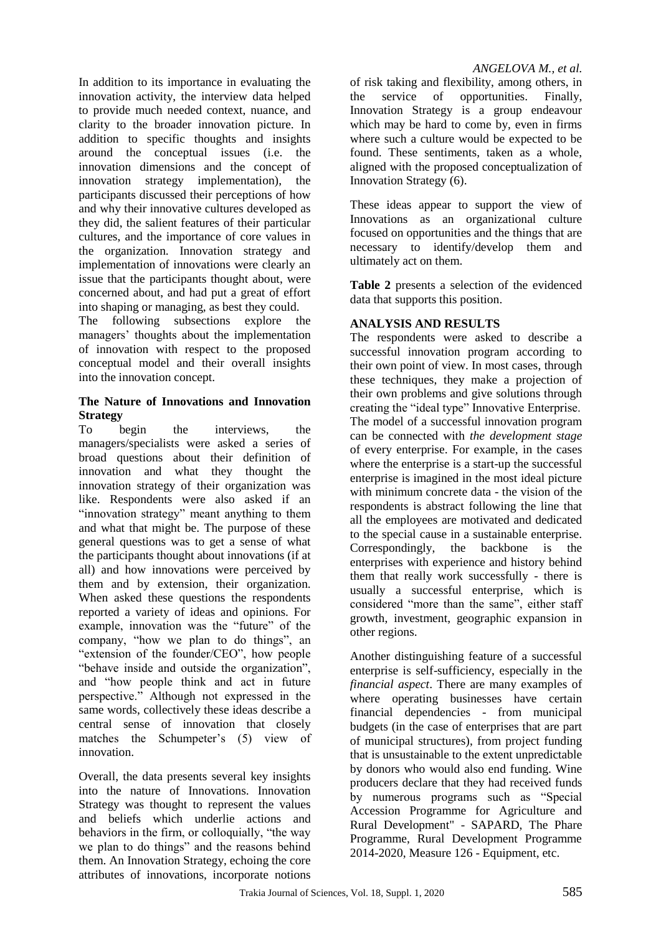In addition to its importance in evaluating the innovation activity, the interview data helped to provide much needed context, nuance, and clarity to the broader innovation picture. In addition to specific thoughts and insights around the conceptual issues (i.e. the innovation dimensions and the concept of innovation strategy implementation), the participants discussed their perceptions of how and why their innovative cultures developed as they did, the salient features of their particular cultures, and the importance of core values in the organization. Innovation strategy and implementation of innovations were clearly an issue that the participants thought about, were concerned about, and had put a great of effort into shaping or managing, as best they could.

The following subsections explore the managers' thoughts about the implementation of innovation with respect to the proposed conceptual model and their overall insights into the innovation concept.

### **The Nature of Innovations and Innovation Strategy**

To begin the interviews, the managers/specialists were asked a series of broad questions about their definition of innovation and what they thought the innovation strategy of their organization was like. Respondents were also asked if an "innovation strategy" meant anything to them and what that might be. The purpose of these general questions was to get a sense of what the participants thought about innovations (if at all) and how innovations were perceived by them and by extension, their organization. When asked these questions the respondents reported a variety of ideas and opinions. For example, innovation was the "future" of the company, "how we plan to do things", an "extension of the founder/CEO", how people "behave inside and outside the organization", and "how people think and act in future perspective." Although not expressed in the same words, collectively these ideas describe a central sense of innovation that closely matches the Schumpeter's (5) view of innovation.

Overall, the data presents several key insights into the nature of Innovations. Innovation Strategy was thought to represent the values and beliefs which underlie actions and behaviors in the firm, or colloquially, "the way we plan to do things" and the reasons behind them. An Innovation Strategy, echoing the core attributes of innovations, incorporate notions

### *ANGELOVA M., et al.*

of risk taking and flexibility, among others, in the service of opportunities. Finally, Innovation Strategy is a group endeavour which may be hard to come by, even in firms where such a culture would be expected to be found. These sentiments, taken as a whole, aligned with the proposed conceptualization of Innovation Strategy (6).

These ideas appear to support the view of Innovations as an organizational culture focused on opportunities and the things that are necessary to identify/develop them and ultimately act on them.

**Table 2** presents a selection of the evidenced data that supports this position.

## **ANALYSIS AND RESULTS**

The respondents were asked to describe a successful innovation program according to their own point of view. In most cases, through these techniques, they make a projection of their own problems and give solutions through creating the "ideal type" Innovative Enterprise. The model of a successful innovation program can be connected with *the development stage*  of every enterprise. For example, in the cases where the enterprise is a start-up the successful enterprise is imagined in the most ideal picture with minimum concrete data - the vision of the respondents is abstract following the line that all the employees are motivated and dedicated to the special cause in a sustainable enterprise. Correspondingly, the backbone is the enterprises with experience and history behind them that really work successfully - there is usually a successful enterprise, which is considered "more than the same", either staff growth, investment, geographic expansion in other regions.

Another distinguishing feature of a successful enterprise is self-sufficiency, especially in the *financial aspect*. There are many examples of where operating businesses have certain financial dependencies - from municipal budgets (in the case of enterprises that are part of municipal structures), from project funding that is unsustainable to the extent unpredictable by donors who would also end funding. Wine producers declare that they had received funds by numerous programs such as "Special Accession Programme for Agriculture and Rural Development" - SAPARD, The Phare Programme, Rural Development Programme 2014-2020, Measure 126 - Equipment, etc.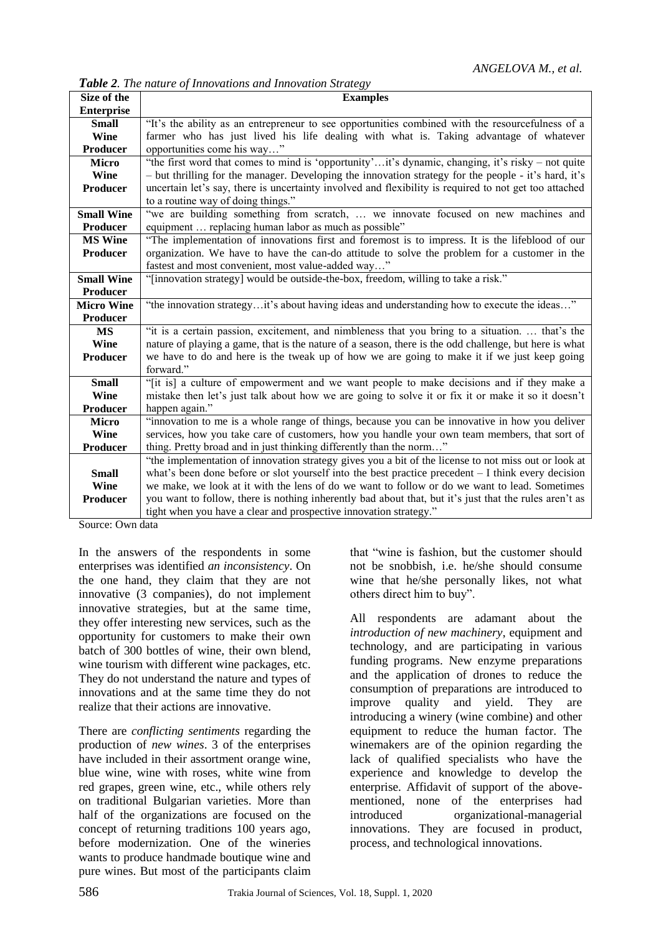*Table 2. The nature of Innovations and Innovation Strategy*

| Size of the       | <b>Examples</b>                                                                                        |  |  |  |  |  |  |
|-------------------|--------------------------------------------------------------------------------------------------------|--|--|--|--|--|--|
| <b>Enterprise</b> |                                                                                                        |  |  |  |  |  |  |
| <b>Small</b>      | "It's the ability as an entrepreneur to see opportunities combined with the resourcefulness of a       |  |  |  |  |  |  |
| Wine              | farmer who has just lived his life dealing with what is. Taking advantage of whatever                  |  |  |  |  |  |  |
| Producer          | opportunities come his way"                                                                            |  |  |  |  |  |  |
| <b>Micro</b>      | "the first word that comes to mind is 'opportunity'it's dynamic, changing, it's risky – not quite      |  |  |  |  |  |  |
| <b>Wine</b>       | - but thrilling for the manager. Developing the innovation strategy for the people - it's hard, it's   |  |  |  |  |  |  |
| Producer          | uncertain let's say, there is uncertainty involved and flexibility is required to not get too attached |  |  |  |  |  |  |
|                   | to a routine way of doing things."                                                                     |  |  |  |  |  |  |
| <b>Small Wine</b> | "we are building something from scratch,  we innovate focused on new machines and                      |  |  |  |  |  |  |
| <b>Producer</b>   | equipment  replacing human labor as much as possible"                                                  |  |  |  |  |  |  |
| <b>MS Wine</b>    | "The implementation of innovations first and foremost is to impress. It is the lifeblood of our        |  |  |  |  |  |  |
| <b>Producer</b>   | organization. We have to have the can-do attitude to solve the problem for a customer in the           |  |  |  |  |  |  |
|                   | fastest and most convenient, most value-added way"                                                     |  |  |  |  |  |  |
| <b>Small Wine</b> | "[innovation strategy] would be outside-the-box, freedom, willing to take a risk."                     |  |  |  |  |  |  |
| <b>Producer</b>   |                                                                                                        |  |  |  |  |  |  |
| <b>Micro Wine</b> | "the innovation strategyit's about having ideas and understanding how to execute the ideas"            |  |  |  |  |  |  |
| <b>Producer</b>   |                                                                                                        |  |  |  |  |  |  |
| <b>MS</b>         | "it is a certain passion, excitement, and nimbleness that you bring to a situation.  that's the        |  |  |  |  |  |  |
| Wine              | nature of playing a game, that is the nature of a season, there is the odd challenge, but here is what |  |  |  |  |  |  |
| Producer          | we have to do and here is the tweak up of how we are going to make it if we just keep going            |  |  |  |  |  |  |
|                   | forward."                                                                                              |  |  |  |  |  |  |
| <b>Small</b>      | "[it is] a culture of empowerment and we want people to make decisions and if they make a              |  |  |  |  |  |  |
| Wine              | mistake then let's just talk about how we are going to solve it or fix it or make it so it doesn't     |  |  |  |  |  |  |
| Producer          | happen again."                                                                                         |  |  |  |  |  |  |
| <b>Micro</b>      | "innovation to me is a whole range of things, because you can be innovative in how you deliver         |  |  |  |  |  |  |
| Wine              | services, how you take care of customers, how you handle your own team members, that sort of           |  |  |  |  |  |  |
| Producer          | thing. Pretty broad and in just thinking differently than the norm"                                    |  |  |  |  |  |  |
|                   | "the implementation of innovation strategy gives you a bit of the license to not miss out or look at   |  |  |  |  |  |  |
| <b>Small</b>      | what's been done before or slot yourself into the best practice precedent $-1$ think every decision    |  |  |  |  |  |  |
| Wine              | we make, we look at it with the lens of do we want to follow or do we want to lead. Sometimes          |  |  |  |  |  |  |
| <b>Producer</b>   | you want to follow, there is nothing inherently bad about that, but it's just that the rules aren't as |  |  |  |  |  |  |
|                   | tight when you have a clear and prospective innovation strategy."                                      |  |  |  |  |  |  |

Source: Own data

In the answers of the respondents in some enterprises was identified *an inconsistency*. On the one hand, they claim that they are not innovative (3 companies), do not implement innovative strategies, but at the same time, they offer interesting new services, such as the opportunity for customers to make their own batch of 300 bottles of wine, their own blend, wine tourism with different wine packages, etc. They do not understand the nature and types of innovations and at the same time they do not realize that their actions are innovative.

There are *conflicting sentiments* regarding the production of *new wines*. 3 of the enterprises have included in their assortment orange wine. blue wine, wine with roses, white wine from red grapes, green wine, etc., while others rely on traditional Bulgarian varieties. More than half of the organizations are focused on the concept of returning traditions 100 years ago, before modernization. One of the wineries wants to produce handmade boutique wine and pure wines. But most of the participants claim

that "wine is fashion, but the customer should not be snobbish, i.e. he/she should consume wine that he/she personally likes, not what others direct him to buy".

All respondents are adamant about the *introduction of new machinery*, equipment and technology, and are participating in various funding programs. New enzyme preparations and the application of drones to reduce the consumption of preparations are introduced to improve quality and yield. They are introducing a winery (wine combine) and other equipment to reduce the human factor. The winemakers are of the opinion regarding the lack of qualified specialists who have the experience and knowledge to develop the enterprise. Affidavit of support of the abovementioned, none of the enterprises had introduced organizational-managerial innovations. They are focused in product, process, and technological innovations.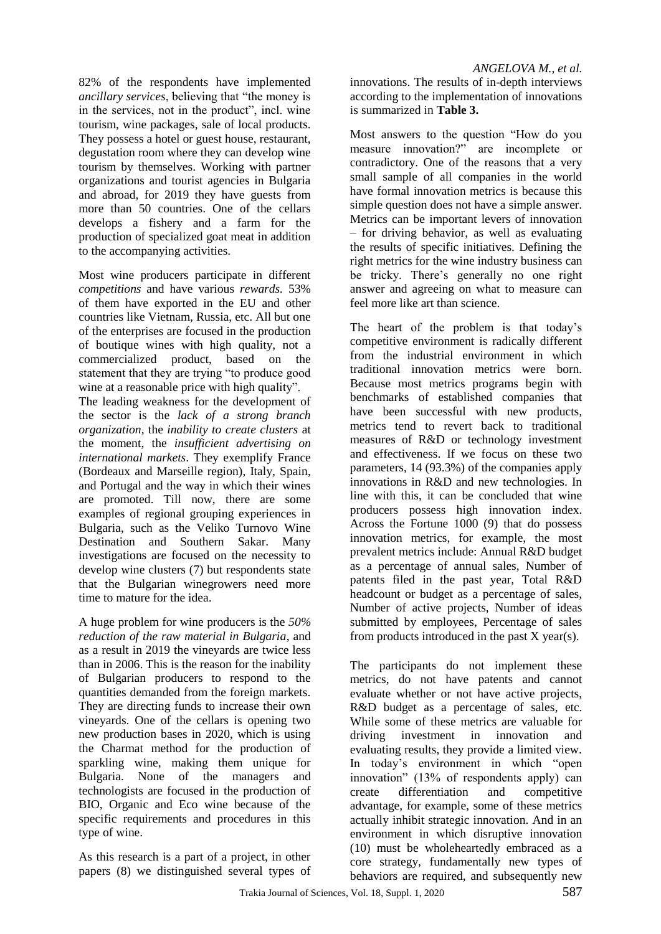82% of the respondents have implemented *ancillary services*, believing that "the money is in the services, not in the product", incl. wine tourism, wine packages, sale of local products. They possess a hotel or guest house, restaurant, degustation room where they can develop wine tourism by themselves. Working with partner organizations and tourist agencies in Bulgaria and abroad, for 2019 they have guests from more than 50 countries. One of the cellars develops a fishery and a farm for the production of specialized goat meat in addition to the accompanying activities.

Most wine producers participate in different *competitions* and have various *rewards.* 53% of them have exported in the EU and other countries like Vietnam, Russia, etc. All but one of the enterprises are focused in the production of boutique wines with high quality, not a commercialized product, based on the statement that they are trying "to produce good wine at a reasonable price with high quality".

The leading weakness for the development of the sector is the *lack of a strong branch organization*, the *inability to create clusters* at the moment, the *insufficient advertising on international markets*. They exemplify France (Bordeaux and Marseille region), Italy, Spain, and Portugal and the way in which their wines are promoted. Till now, there are some examples of regional grouping experiences in Bulgaria, such as the Veliko Turnovo Wine Destination and Southern Sakar. Many investigations are focused on the necessity to develop wine clusters (7) but respondents state that the Bulgarian winegrowers need more time to mature for the idea.

A huge problem for wine producers is the *50% reduction of the raw material in Bulgaria*, and as a result in 2019 the vineyards are twice less than in 2006. This is the reason for the inability of Bulgarian producers to respond to the quantities demanded from the foreign markets. They are directing funds to increase their own vineyards. One of the cellars is opening two new production bases in 2020, which is using the Charmat method for the production of sparkling wine, making them unique for Bulgaria. None of the managers and technologists are focused in the production of BIO, Organic and Eco wine because of the specific requirements and procedures in this type of wine.

As this research is a part of a project, in other papers (8) we distinguished several types of

### *ANGELOVA M., et al.*

innovations. The results of in-depth interviews according to the implementation of innovations is summarized in **Table 3.**

Most answers to the question "How do you measure innovation?" are incomplete or contradictory. One of the reasons that a very small sample of all companies in the world have formal innovation metrics is because this simple question does not have a simple answer. Metrics can be important levers of innovation – for driving behavior, as well as evaluating the results of specific initiatives. Defining the right metrics for the wine industry business can be tricky. There's generally no one right answer and agreeing on what to measure can feel more like art than science.

The heart of the problem is that today's competitive environment is radically different from the industrial environment in which traditional innovation metrics were born. Because most metrics programs begin with benchmarks of established companies that have been successful with new products, metrics tend to revert back to traditional measures of R&D or technology investment and effectiveness. If we focus on these two parameters, 14 (93.3%) of the companies apply innovations in R&D and new technologies. In line with this, it can be concluded that wine producers possess high innovation index. Across the Fortune 1000 (9) that do possess innovation metrics, for example, the most prevalent metrics include: Annual R&D budget as a percentage of annual sales, Number of patents filed in the past year, Total R&D headcount or budget as a percentage of sales, Number of active projects, Number of ideas submitted by employees, Percentage of sales from products introduced in the past X year(s).

The participants do not implement these metrics, do not have patents and cannot evaluate whether or not have active projects, R&D budget as a percentage of sales, etc. While some of these metrics are valuable for driving investment in innovation and evaluating results, they provide a limited view. In today's environment in which "open innovation" (13% of respondents apply) can create differentiation and competitive advantage, for example, some of these metrics actually inhibit strategic innovation. And in an environment in which disruptive innovation (10) must be wholeheartedly embraced as a core strategy, fundamentally new types of behaviors are required, and subsequently new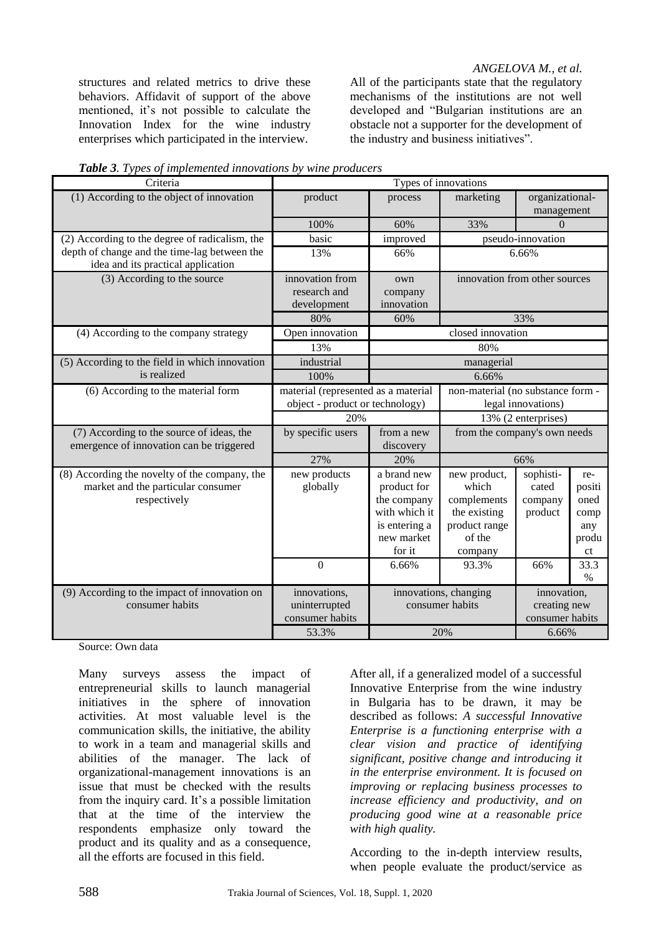#### *ANGELOVA M., et al.*

structures and related metrics to drive these behaviors. Affidavit of support of the above mentioned, it's not possible to calculate the Innovation Index for the wine industry enterprises which participated in the interview.

All of the participants state that the regulatory mechanisms of the institutions are not well developed and "Bulgarian institutions are an obstacle not a supporter for the development of the industry and business initiatives".

| Criteria                                                                                            | Types of innovations                                                   |                                                                                                     |                                                                                            |                                                         |                                                     |  |  |
|-----------------------------------------------------------------------------------------------------|------------------------------------------------------------------------|-----------------------------------------------------------------------------------------------------|--------------------------------------------------------------------------------------------|---------------------------------------------------------|-----------------------------------------------------|--|--|
| (1) According to the object of innovation                                                           | product                                                                | process                                                                                             | marketing                                                                                  | organizational-<br>management                           |                                                     |  |  |
|                                                                                                     | 100%                                                                   | 60%                                                                                                 | 33%                                                                                        | $\Omega$                                                |                                                     |  |  |
| (2) According to the degree of radicalism, the                                                      | basic                                                                  | improved                                                                                            | pseudo-innovation                                                                          |                                                         |                                                     |  |  |
| depth of change and the time-lag between the<br>idea and its practical application                  | 13%                                                                    | 66%                                                                                                 | 6.66%                                                                                      |                                                         |                                                     |  |  |
| (3) According to the source                                                                         | innovation from<br>research and<br>development                         | own<br>company<br>innovation                                                                        | innovation from other sources                                                              |                                                         |                                                     |  |  |
|                                                                                                     | 80%                                                                    | 60%                                                                                                 | 33%                                                                                        |                                                         |                                                     |  |  |
| (4) According to the company strategy                                                               | Open innovation                                                        |                                                                                                     | closed innovation                                                                          |                                                         |                                                     |  |  |
|                                                                                                     | 13%                                                                    |                                                                                                     | 80%                                                                                        |                                                         |                                                     |  |  |
| (5) According to the field in which innovation<br>is realized                                       | industrial                                                             |                                                                                                     | managerial                                                                                 |                                                         |                                                     |  |  |
|                                                                                                     | 100%                                                                   |                                                                                                     | 6.66%                                                                                      |                                                         |                                                     |  |  |
| (6) According to the material form                                                                  | material (represented as a material<br>object - product or technology) |                                                                                                     | non-material (no substance form -<br>legal innovations)                                    |                                                         |                                                     |  |  |
|                                                                                                     | 20%                                                                    |                                                                                                     | 13% (2 enterprises)                                                                        |                                                         |                                                     |  |  |
| (7) According to the source of ideas, the<br>emergence of innovation can be triggered               | by specific users                                                      | from a new<br>discovery                                                                             | from the company's own needs                                                               |                                                         |                                                     |  |  |
|                                                                                                     | 27%                                                                    | 20%                                                                                                 | 66%                                                                                        |                                                         |                                                     |  |  |
| (8) According the novelty of the company, the<br>market and the particular consumer<br>respectively | new products<br>globally                                               | a brand new<br>product for<br>the company<br>with which it<br>is entering a<br>new market<br>for it | new product,<br>which<br>complements<br>the existing<br>product range<br>of the<br>company | sophisti-<br>cated<br>company<br>product                | re-<br>positi<br>oned<br>comp<br>any<br>produ<br>ct |  |  |
|                                                                                                     | $\boldsymbol{0}$                                                       | 6.66%                                                                                               | 93.3%                                                                                      | 66%                                                     | 33.3<br>$\%$                                        |  |  |
| (9) According to the impact of innovation on<br>consumer habits                                     | innovations,<br>uninterrupted<br>consumer habits<br>53.3%              | innovations, changing<br>consumer habits<br>20%                                                     |                                                                                            | innovation,<br>creating new<br>consumer habits<br>6.66% |                                                     |  |  |

*Table 3. Types of implemented innovations by wine producers*

Source: Own data

Many surveys assess the impact of entrepreneurial skills to launch managerial initiatives in the sphere of innovation activities. At most valuable level is the communication skills, the initiative, the ability to work in a team and managerial skills and abilities of the manager. The lack of organizational-management innovations is an issue that must be checked with the results from the inquiry card. It's a possible limitation that at the time of the interview the respondents emphasize only toward the product and its quality and as a consequence, all the efforts are focused in this field.

After all, if a generalized model of a successful Innovative Enterprise from the wine industry in Bulgaria has to be drawn, it may be described as follows: *A successful Innovative Enterprise is a functioning enterprise with a clear vision and practice of identifying significant, positive change and introducing it in the enterprise environment. It is focused on improving or replacing business processes to increase efficiency and productivity, and on producing good wine at a reasonable price with high quality.*

According to the in-depth interview results, when people evaluate the product/service as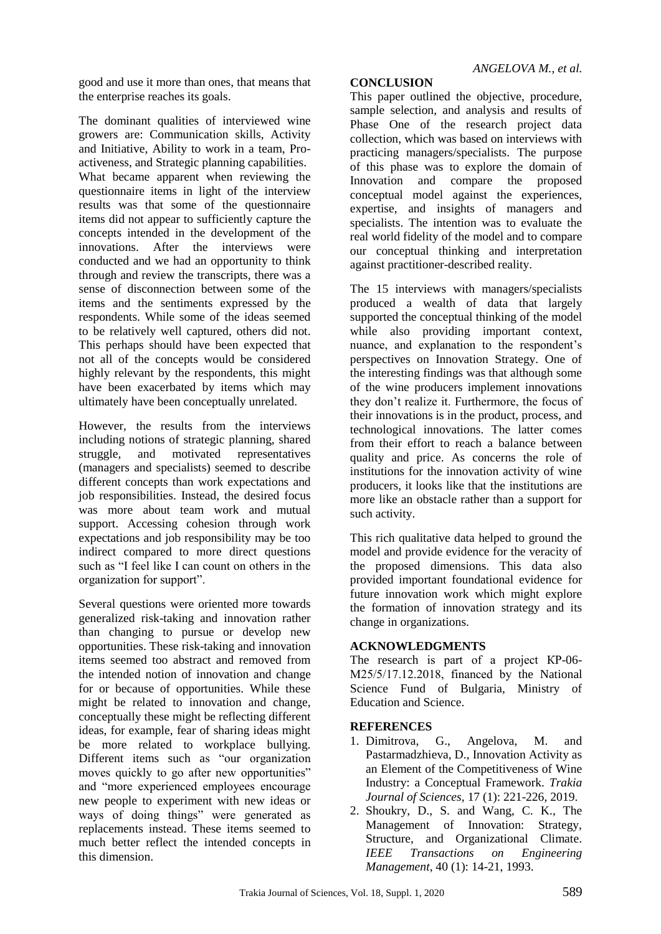good and use it more than ones, that means that the enterprise reaches its goals.

The dominant qualities of interviewed wine growers are: Communication skills, Activity and Initiative, Ability to work in a team, Proactiveness, and Strategic planning capabilities. What became apparent when reviewing the questionnaire items in light of the interview results was that some of the questionnaire items did not appear to sufficiently capture the concepts intended in the development of the innovations. After the interviews were conducted and we had an opportunity to think through and review the transcripts, there was a sense of disconnection between some of the items and the sentiments expressed by the respondents. While some of the ideas seemed to be relatively well captured, others did not. This perhaps should have been expected that not all of the concepts would be considered highly relevant by the respondents, this might have been exacerbated by items which may ultimately have been conceptually unrelated.

However, the results from the interviews including notions of strategic planning, shared struggle, and motivated representatives (managers and specialists) seemed to describe different concepts than work expectations and job responsibilities. Instead, the desired focus was more about team work and mutual support. Accessing cohesion through work expectations and job responsibility may be too indirect compared to more direct questions such as "I feel like I can count on others in the organization for support".

Several questions were oriented more towards generalized risk-taking and innovation rather than changing to pursue or develop new opportunities. These risk-taking and innovation items seemed too abstract and removed from the intended notion of innovation and change for or because of opportunities. While these might be related to innovation and change, conceptually these might be reflecting different ideas, for example, fear of sharing ideas might be more related to workplace bullying. Different items such as "our organization moves quickly to go after new opportunities" and "more experienced employees encourage new people to experiment with new ideas or ways of doing things" were generated as replacements instead. These items seemed to much better reflect the intended concepts in this dimension.

## **CONCLUSION**

This paper outlined the objective, procedure, sample selection, and analysis and results of Phase One of the research project data collection, which was based on interviews with practicing managers/specialists. The purpose of this phase was to explore the domain of Innovation and compare the proposed conceptual model against the experiences, expertise, and insights of managers and specialists. The intention was to evaluate the real world fidelity of the model and to compare our conceptual thinking and interpretation against practitioner-described reality.

The 15 interviews with managers/specialists produced a wealth of data that largely supported the conceptual thinking of the model while also providing important context, nuance, and explanation to the respondent's perspectives on Innovation Strategy. One of the interesting findings was that although some of the wine producers implement innovations they don't realize it. Furthermore, the focus of their innovations is in the product, process, and technological innovations. The latter comes from their effort to reach a balance between quality and price. As concerns the role of institutions for the innovation activity of wine producers, it looks like that the institutions are more like an obstacle rather than a support for such activity.

This rich qualitative data helped to ground the model and provide evidence for the veracity of the proposed dimensions. This data also provided important foundational evidence for future innovation work which might explore the formation of innovation strategy and its change in organizations.

## **ACKNOWLEDGMENTS**

The research is part of a project КP-06- М25/5/17.12.2018, financed by the National Science Fund of Bulgaria, Ministry of Education and Science.

#### **REFERENCES**

- 1. Dimitrova, G., Angelova, M. and Pastarmadzhieva, D., Innovation Activity as an Element of the Competitiveness of Wine Industry: a Conceptual Framework. *Trakia Journal of Sciences*, 17 (1): 221-226, 2019.
- 2. Shoukry, D., S. and Wang, C. K., The Management of Innovation: Strategy, Structure, and Organizational Climate. *IEEE Transactions on Engineering Management*, 40 (1): 14-21, 1993.